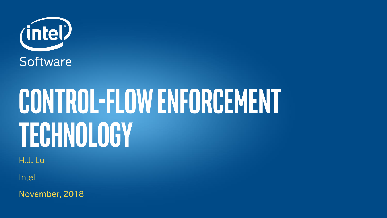

# CONTROL-FLOW ENFORCEMENT Technology

H.J. Lu

Intel

November, 2018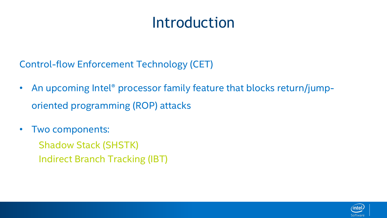# Introduction

Control-flow Enforcement Technology (CET)

- An upcoming Intel<sup>®</sup> processor family feature that blocks return/jumporiented programming (ROP) attacks
- Two components:

Shadow Stack (SHSTK) Indirect Branch Tracking (IBT)

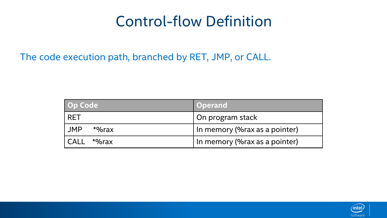## Control-flow Definition

The code execution path, branched by RET, JMP, or CALL.

| Op Code              | <b>Operand</b>                 |
|----------------------|--------------------------------|
| <b>RET</b>           | On program stack               |
| <b>JMP</b><br>*%rax  | In memory (% rax as a pointer) |
| <b>CALL</b><br>*%rax | In memory (% rax as a pointer) |

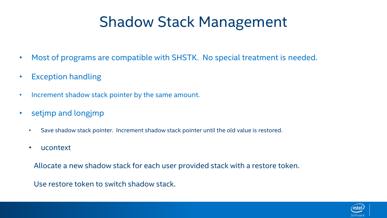# Shadow Stack Management

- Most of programs are compatible with SHSTK. No special treatment is needed.
- Exception handling
- Increment shadow stack pointer by the same amount.
- setjmp and longjmp
	- Save shadow stack pointer. Increment shadow stack pointer until the old value is restored.
	- ucontext

Allocate a new shadow stack for each user provided stack with a restore token.

Use restore token to switch shadow stack.

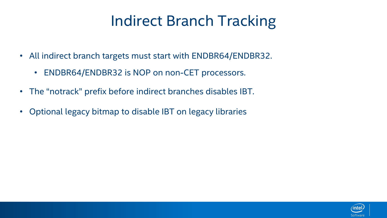# Indirect Branch Tracking

- All indirect branch targets must start with ENDBR64/ENDBR32.
	- ENDBR64/ENDBR32 is NOP on non-CET processors.
- The "notrack" prefix before indirect branches disables IBT.
- Optional legacy bitmap to disable IBT on legacy libraries

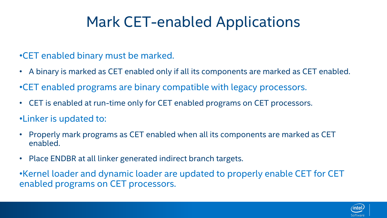# Mark CET-enabled Applications

#### •CET enabled binary must be marked.

- A binary is marked as CET enabled only if all its components are marked as CET enabled.
- •CET enabled programs are binary compatible with legacy processors.
- CET is enabled at run-time only for CET enabled programs on CET processors.
- •Linker is updated to:
- Properly mark programs as CET enabled when all its components are marked as CET enabled.
- Place ENDBR at all linker generated indirect branch targets.

•Kernel loader and dynamic loader are updated to properly enable CET for CET enabled programs on CET processors.

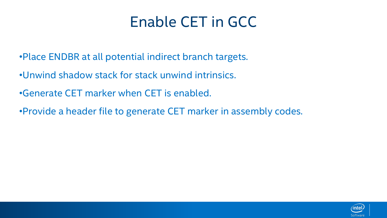# Enable CET in GCC

- •Place ENDBR at all potential indirect branch targets.
- •Unwind shadow stack for stack unwind intrinsics.
- •Generate CET marker when CET is enabled.
- •Provide a header file to generate CET marker in assembly codes.

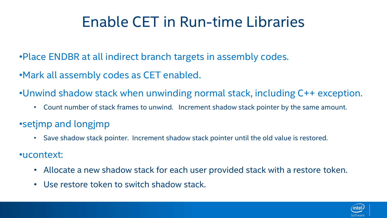# Enable CET in Run-time Libraries

•Place ENDBR at all indirect branch targets in assembly codes.

- •Mark all assembly codes as CET enabled.
- •Unwind shadow stack when unwinding normal stack, including C++ exception.
	- Count number of stack frames to unwind. Increment shadow stack pointer by the same amount.
- •setjmp and longjmp
	- Save shadow stack pointer. Increment shadow stack pointer until the old value is restored.
- •ucontext:
	- Allocate a new shadow stack for each user provided stack with a restore token.
	- Use restore token to switch shadow stack.

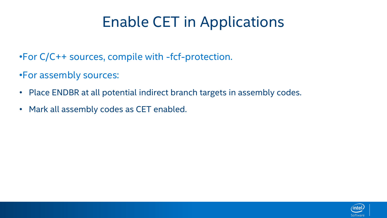# Enable CET in Applications

•For C/C++ sources, compile with -fcf-protection.

•For assembly sources:

- Place ENDBR at all potential indirect branch targets in assembly codes.
- Mark all assembly codes as CET enabled.

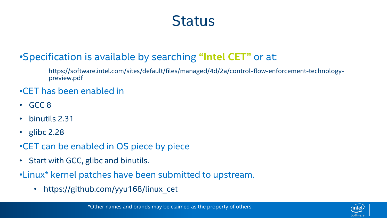### **Status**

#### •Specification is available by searching **"Intel CET"** or at:

https://software.intel.com/sites/default/files/managed/4d/2a/control-flow-enforcement-technologypreview.pdf

#### •CET has been enabled in

- GCC 8
- binutils 2.31
- glibc 2.28
- •CET can be enabled in OS piece by piece
- Start with GCC, glibc and binutils.
- •Linux\* kernel patches have been submitted to upstream.
	- https://github.com/yyu168/linux cet

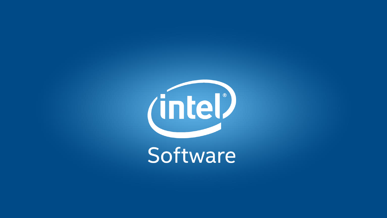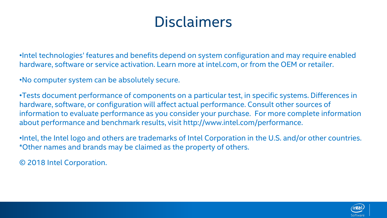# **Disclaimers**

•Intel technologies' features and benefits depend on system configuration and may require enabled hardware, software or service activation. Learn more at intel.com, or from the OEM or retailer.

•No computer system can be absolutely secure.

•Tests document performance of components on a particular test, in specific systems. Differences in hardware, software, or configuration will affect actual performance. Consult other sources of information to evaluate performance as you consider your purchase. For more complete information about performance and benchmark results, visit http://www.intel.com/performance.

•Intel, the Intel logo and others are trademarks of Intel Corporation in the U.S. and/or other countries. \*Other names and brands may be claimed as the property of others.

© 2018 Intel Corporation.

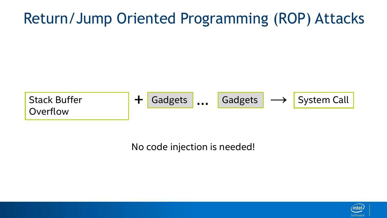# Return/Jump Oriented Programming (ROP) Attacks



No code injection is needed!

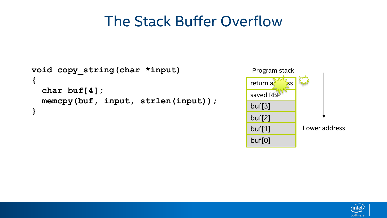## The Stack Buffer Overflow

```
void copy_string(char *input)
{
  char buf[4];
  memcpy(buf, input, strlen(input));
}
```


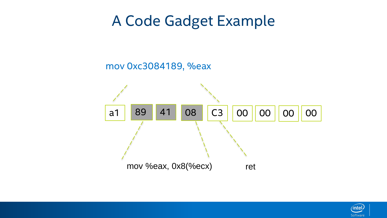## A Code Gadget Example

#### mov 0xc3084189, %eax



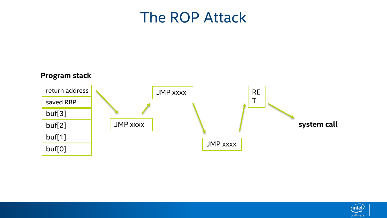#### The ROP Attack



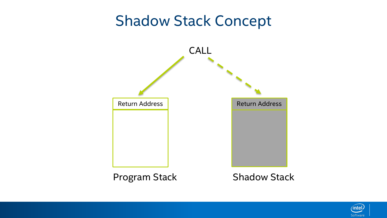#### Shadow Stack Concept



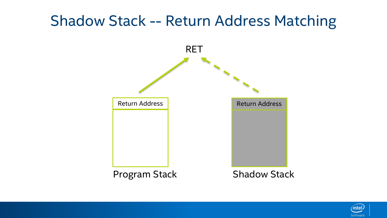#### Shadow Stack -- Return Address Matching



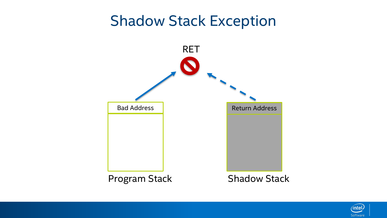#### Shadow Stack Exception



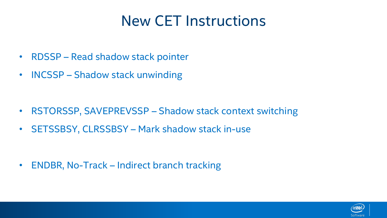## New CET Instructions

- RDSSP Read shadow stack pointer
- INCSSP Shadow stack unwinding

- RSTORSSP, SAVEPREVSSP Shadow stack context switching
- SETSSBSY, CLRSSBSY Mark shadow stack in-use

• ENDBR, No-Track – Indirect branch tracking

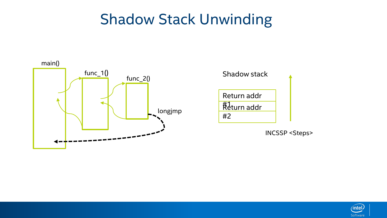## Shadow Stack Unwinding





INCSSP <Steps>